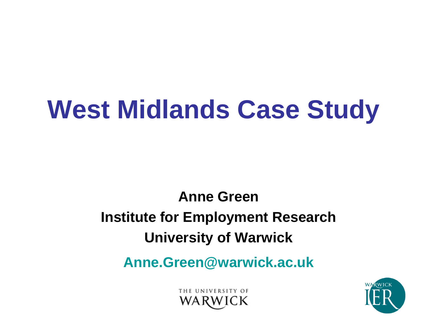# **West Midlands Case Study**

**Anne Green Institute for Employment Research University of Warwick**

**Anne.Green@warwick.ac.uk**

THE UNIVERSITY OF

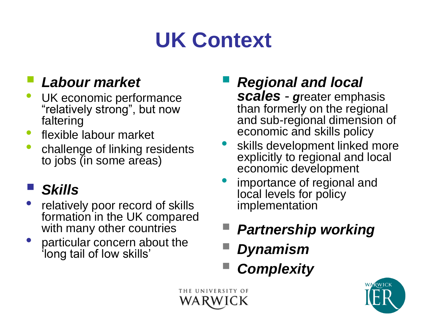### **UK Context**

### *Labour market*

- UK economic performance "relatively strong", but now faltering
- flexible labour market
- challenge of linking residents to jobs (in some areas)

### *Skills*

- relatively poor record of skills formation in the UK compared with many other countries
- particular concern about the "long tail of low skills"

*Regional and local* 

*scales* - *g*reater emphasis than formerly on the regional and sub-regional dimension of economic and skills policy

- skills development linked more explicitly to regional and local economic development
- importance of regional and local levels for policy implementation
- *Partnership working*
- *Dynamism*
- *Complexity*



THE UNIVERSITY OF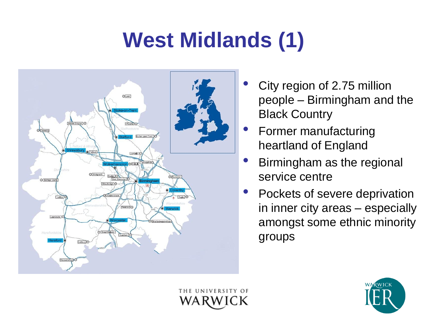## **West Midlands (1)**



- City region of 2.75 million people – Birmingham and the Black Country
- Former manufacturing heartland of England
- Birmingham as the regional service centre
- Pockets of severe deprivation in inner city areas – especially amongst some ethnic minority groups



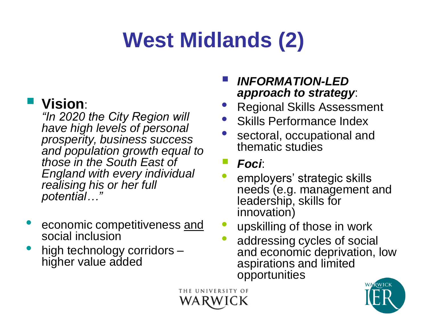## **West Midlands (2)**

#### **Vision**:

*"In 2020 the City Region will have high levels of personal prosperity, business success and population growth equal to those in the South East of England with every individual realising his or her full potential…"*

- economic competitiveness and social inclusion
- high technology corridors higher value added

#### *INFORMATION-LED approach to strategy*:

- Regional Skills Assessment
- Skills Performance Index
- sectoral, occupational and thematic studies

#### *Foci*:

- employers' strategic skills needs (e.g. management and leadership, skills for innovation)
- upskilling of those in work
- addressing cycles of social and economic deprivation, low aspirations and limited opportunities

THE UNIVERSITY OF

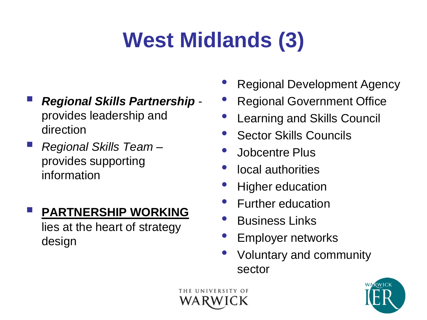## **West Midlands (3)**

- *Regional Skills Partnership*  provides leadership and direction
- *Regional Skills Team* provides supporting information

#### **PARTNERSHIP WORKING**

lies at the heart of strategy design

- Regional Development Agency
- Regional Government Office
- Learning and Skills Council
- **Sector Skills Councils**
- Jobcentre Plus
- local authorities
- **Higher education**
- Further education
- Business Links
- Employer networks
- Voluntary and community sector